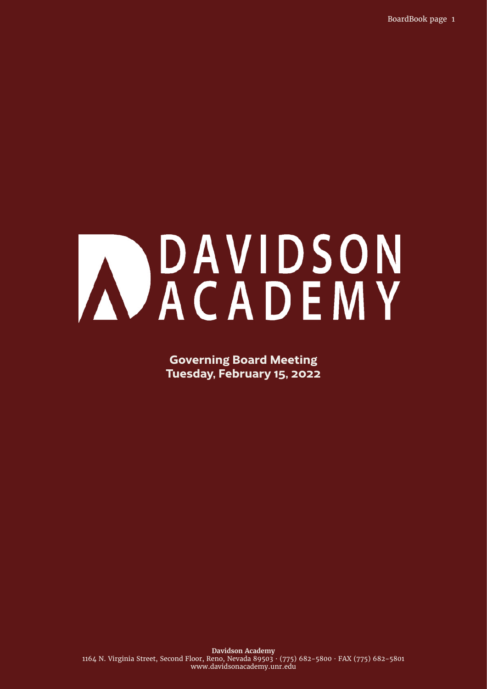BoardBook page 1

# AVACADEMY

**Governing Board Meeting Tuesday, February 15, 2022**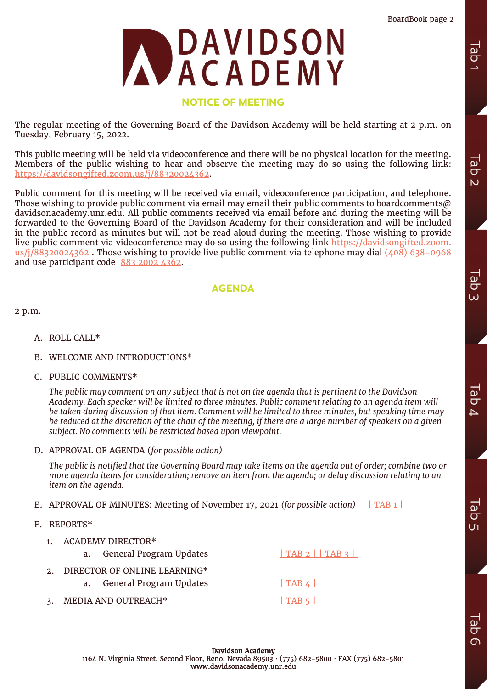

# **NOTICE OF MEETING**

The regular meeting of the Governing Board of the Davidson Academy will be held starting at 2 p.m. on Tuesday, February 15, 2022.

This public meeting will be held via videoconference and there will be no physical location for the meeting. Members of the public wishing to hear and observe the meeting may do so using the following link: [https://davidsongifted.zoom.us/j/88320024362.](https://davidsongifted.zoom.us/j/88320024362)

Public comment for this meeting will be received via email, videoconference participation, and telephone. Those wishing to provide public comment via email may email their public comments to boardcomments  $\omega$ davidsonacademy.unr.edu. All public comments received via email before and during the meeting will be forwarded to the Governing Board of the Davidson Academy for their consideration and will be included in the public record as minutes but will not be read aloud during the meeting. Those wishing to provide live public comment via videoconference may do so using the following link [https://davidsongifted.zoom.](https://davidsongifted.zoom.us/j/88320024362) us/j/88320024362. Those wishing to provide live public comment via telephone may dial (408) 638-0968 and use participant code 883 2002 4362.

# **AGENDA**

2 p.m.

- A. ROLL CALL\*
- B. WELCOME AND INTRODUCTIONS\*
- C. PUBLIC COMMENTS\*

*The public may comment on any subject that is not on the agenda that is pertinent to the Davidson Academy. Each speaker will be limited to three minutes. Public comment relating to an agenda item will be taken during discussion of that item. Comment will be limited to three minutes, but speaking time may be reduced at the discretion of the chair of the meeting, if there are a large number of speakers on a given subject. No comments will be restricted based upon viewpoint.*

D. APPROVAL OF AGENDA (*for possible action)*

*The public is notified that the Governing Board may take items on the agenda out of order; combine two or more agenda items for consideration; remove an item from the agenda; or delay discussion relating to an item on the agenda.* 

- E. APPROVAL OF MINUTES: Meeting of November 17, 2021 *(for possible action)* 1 TAB 1
- F. REPORTS\*
	- 1. ACADEMY DIRECTOR\* a. General Program Updates 1 TAB 2 [| TAB 3 |](#page-8-0) 2. DIRECTOR OF ONLINE LEARNING\* a. General Program Updates **FAB4** 3. MEDIA AND OUTREACH\* | TAB 5 |

Tab 2

Tab 1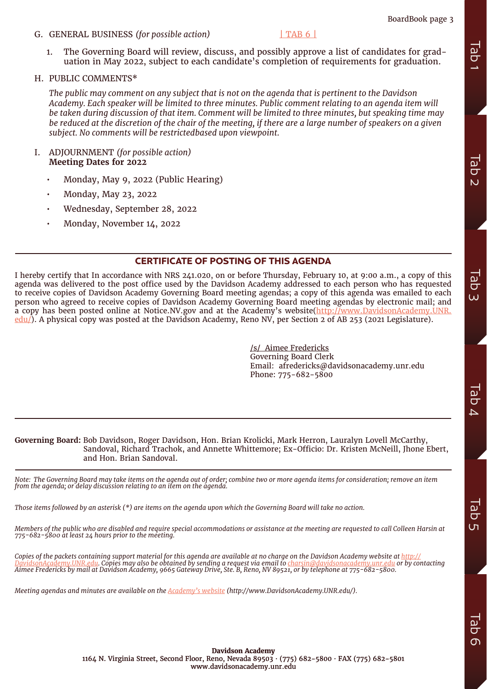# BoardBook page 3

G. GENERAL BUSINESS *(for possible action)* [| TAB 6 |](#page-19-0)

1. The Governing Board will review, discuss, and possibly approve a list of candidates for graduation in May 2022, subject to each candidate's completion of requirements for graduation.

### H. PUBLIC COMMENTS\*

*The public may comment on any subject that is not on the agenda that is pertinent to the Davidson Academy. Each speaker will be limited to three minutes. Public comment relating to an agenda item will be taken during discussion of that item. Comment will be limited to three minutes, but speaking time may be reduced at the discretion of the chair of the meeting, if there are a large number of speakers on a given subject. No comments will be restrictedbased upon viewpoint.*

- I. ADJOURNMENT *(for possible action)* **Meeting Dates for 2022**
	- Monday, May 9, 2022 (Public Hearing)
	- Monday, May 23, 2022
	- Wednesday, September 28, 2022
	- Monday, November 14, 2022

# **CERTIFICATE OF POSTING OF THIS AGENDA**

I hereby certify that In accordance with NRS 241.020, on or before Thursday, February 10, at 9:00 a.m., a copy of this agenda was delivered to the post office used by the Davidson Academy addressed to each person who has requested to receive copies of Davidson Academy Governing Board meeting agendas; a copy of this agenda was emailed to each person who agreed to receive copies of Davidson Academy Governing Board meeting agendas by electronic mail; and a copy has been posted online at Notice.NV.gov and at the Academy's website([http://www.DavidsonAcademy.UNR.](http://www.DavidsonAcademy.UNR.edu/) [edu/](http://www.DavidsonAcademy.UNR.edu/)). A physical copy was posted at the Davidson Academy, Reno NV, per Section 2 of AB 253 (2021 Legislature). **Meeting Records website and minutes and minutes and minutes are available on the actual detection and minutes are available on the academy and the accomptent on the application of the actual content of the actual content** 

/s/ Aimee Fredericks Governing Board Clerk Email: afredericks@davidsonacademy.unr.edu Phone: 775-682-5800

### **Governing Board:** Bob Davidson, Roger Davidson, Hon. Brian Krolicki, Mark Herron, Lauralyn Lovell McCarthy, Sandoval, Richard Trachok, and Annette Whittemore; Ex-Officio: Dr. Kristen McNeill, Jhone Ebert, and Hon. Brian Sandoval.

*Note: The Governing Board may take items on the agenda out of order; combine two or more agenda items for consideration; remove an item from the agenda; or delay discussion relating to an item on the agenda.* 

*Those items followed by an asterisk (\*) are items on the agenda upon which the Governing Board will take no action.* 

*Members of the public who are disabled and require special accommodations or assistance at the meeting are requested to call Colleen Harsin at 775-682-5800 at least 24 hours prior to the meeting.* 

*Copies of the packets containing support material for this agenda are available at no charge on the Davidson Academy website at [http://](http://DavidsonAcademy.UNR.edu) [DavidsonAcademy.UNR.edu.](http://DavidsonAcademy.UNR.edu) Copies may also be obtained by sending a request via email to charsin@davidsonacademy.unr.edu or by contacting Aimee Fredericks by mail at Davidson Academy, 9665 Gateway Drive, Ste. B, Reno, NV 89521, or by telephone at 775-682-5800.* 

 $\sigma$ 

**Davidson Academy** 1164 N. Virginia Street, Second Floor, Reno, Nevada 89503 · (775) 682-5800 · FAX (775) 682-5801 www.davidsonacademy.unr.edu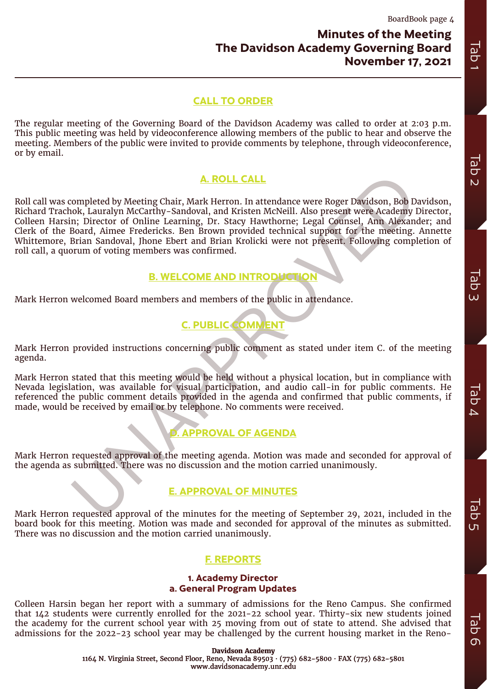# **Minutes of the Meeting The Davidson Academy Governing Board November 17, 2021**

# **CALL TO ORDER**

The regular meeting of the Governing Board of the Davidson Academy was called to order at 2:03 p.m. This public meeting was held by videoconference allowing members of the public to hear and observe the meeting. Members of the public were invited to provide comments by telephone, through videoconference, or by email.

# **A. ROLL CALL**

<span id="page-3-0"></span>**A. ROLL CALL**<br>
completed by Meeting Chair, Mark Herron. In attendance were Roger Davidson, Bob D.<br>
ok, Lauralyn McCarthy-Sandoval, and Kristen McNeill. Also present were Academy<br>
in; Director of Online Learning, Dr. Stacy Roll call was completed by Meeting Chair, Mark Herron. In attendance were Roger Davidson, Bob Davidson, Richard Trachok, Lauralyn McCarthy-Sandoval, and Kristen McNeill. Also present were Academy Director, Colleen Harsin; Director of Online Learning, Dr. Stacy Hawthorne; Legal Counsel, Ann Alexander; and Clerk of the Board, Aimee Fredericks. Ben Brown provided technical support for the meeting. Annette Whittemore, Brian Sandoval, Jhone Ebert and Brian Krolicki were not present. Following completion of roll call, a quorum of voting members was confirmed. **The Davidson Academy Governing Ford CALL TO CRIDER**<br>
The regular meeting of the signation of the Divideon Academy was called to edde at z.v.y. p.m.<br>
metring absences weaked by vieweler researchieving market in the preside

# **B. WELCOME AND INTRODUCT**

Mark Herron welcomed Board members and members of the public in attendance.

# **C. PUBLIC COMMENT**

Mark Herron provided instructions concerning public comment as stated under item C. of the meeting agenda.

Mark Herron stated that this meeting would be held without a physical location, but in compliance with Nevada legislation, was available for visual participation, and audio call-in for public comments. He referenced the public comment details provided in the agenda and confirmed that public comments, if made, would be received by email or by telephone. No comments were received.

# **D. APPROVAL OF AGENDA**

Mark Herron requested approval of the meeting agenda. Motion was made and seconded for approval of the agenda as submitted. There was no discussion and the motion carried unanimously.

# **E. APPROVAL OF MINUTES**

Mark Herron requested approval of the minutes for the meeting of September 29, 2021, included in the board book for this meeting. Motion was made and seconded for approval of the minutes as submitted. There was no discussion and the motion carried unanimously.

# **F. REPORTS**

# **1. Academy Director a. General Program Updates**

Colleen Harsin began her report with a summary of admissions for the Reno Campus. She confirmed that 142 students were currently enrolled for the 2021-22 school year. Thirty-six new students joined the academy for the current school year with 25 moving from out of state to attend. She advised that admissions for the 2022-23 school year may be challenged by the current housing market in the Reno-

> **Davidson Academy** 1164 N. Virginia Street, Second Floor, Reno, Nevada 89503 · (775) 682-5800 · FAX (775) 682-5801 www.davidsonacademy.unr.edu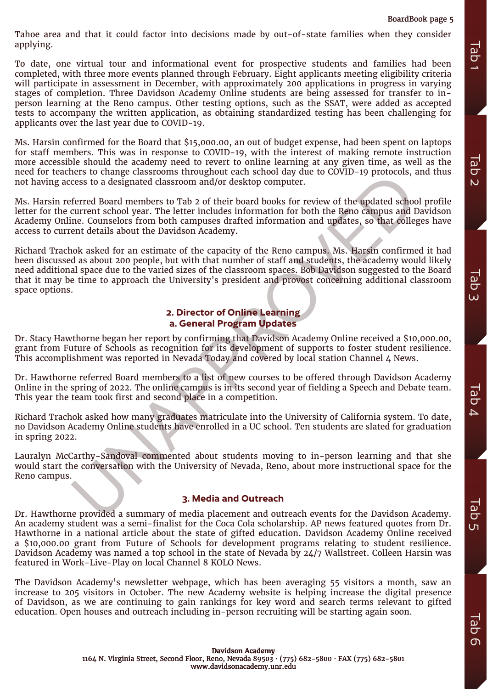Tahoe area and that it could factor into decisions made by out-of-state families when they consider applying.

To date, one virtual tour and informational event for prospective students and families had been completed, with three more events planned through February. Eight applicants meeting eligibility criteria will participate in assessment in December, with approximately 200 applications in progress in varying stages of completion. Three Davidson Academy Online students are being assessed for transfer to inperson learning at the Reno campus. Other testing options, such as the SSAT, were added as accepted tests to accompany the written application, as obtaining standardized testing has been challenging for applicants over the last year due to COVID-19. equively.<br>
The ducation is the contract of the contract including interact which is the person records of the contract including interact including interact including interact in the starting against method in the starting

Ms. Harsin confirmed for the Board that \$15,000.00, an out of budget expense, had been spent on laptops for staff members. This was in response to COVID-19, with the interest of making remote instruction more accessible should the academy need to revert to online learning at any given time, as well as the need for teachers to change classrooms throughout each school day due to COVID-19 protocols, and thus not having access to a designated classroom and/or desktop computer.

Ms. Harsin referred Board members to Tab 2 of their board books for review of the updated school profile letter for the current school year. The letter includes information for both the Reno campus and Davidson Academy Online. Counselors from both campuses drafted information and updates, so that colleges have access to current details about the Davidson Academy.

ers to change cassrooms irrougnout each school asy are to COVID-19 protocols, a<br>cess to a designated classroom and/or desktop computer.<br>
ferred Board members to Tab 2 of their hoard books for review of the updated school<br> Richard Trachok asked for an estimate of the capacity of the Reno campus. Ms. Harsin confirmed it had been discussed as about 200 people, but with that number of staff and students, the academy would likely need additional space due to the varied sizes of the classroom spaces. Bob Davidson suggested to the Board that it may be time to approach the University's president and provost concerning additional classroom space options.

# **2. Director of Online Learning a. General Program Updates**

Dr. Stacy Hawthorne began her report by confirming that Davidson Academy Online received a \$10,000.00, grant from Future of Schools as recognition for its development of supports to foster student resilience. This accomplishment was reported in Nevada Today and covered by local station Channel 4 News.

Dr. Hawthorne referred Board members to a list of new courses to be offered through Davidson Academy Online in the spring of 2022. The online campus is in its second year of fielding a Speech and Debate team. This year the team took first and second place in a competition.

Richard Trachok asked how many graduates matriculate into the University of California system. To date, no Davidson Academy Online students have enrolled in a UC school. Ten students are slated for graduation in spring 2022.

Lauralyn McCarthy-Sandoval commented about students moving to in-person learning and that she would start the conversation with the University of Nevada, Reno, about more instructional space for the Reno campus.

# **3. Media and Outreach**

Dr. Hawthorne provided a summary of media placement and outreach events for the Davidson Academy. An academy student was a semi-finalist for the Coca Cola scholarship. AP news featured quotes from Dr. Hawthorne in a national article about the state of gifted education. Davidson Academy Online received a \$10,000.00 grant from Future of Schools for development programs relating to student resilience. Davidson Academy was named a top school in the state of Nevada by 24/7 Wallstreet. Colleen Harsin was featured in Work-Live-Play on local Channel 8 KOLO News.

The Davidson Academy's newsletter webpage, which has been averaging 55 visitors a month, saw an increase to 205 visitors in October. The new Academy website is helping increase the digital presence of Davidson, as we are continuing to gain rankings for key word and search terms relevant to gifted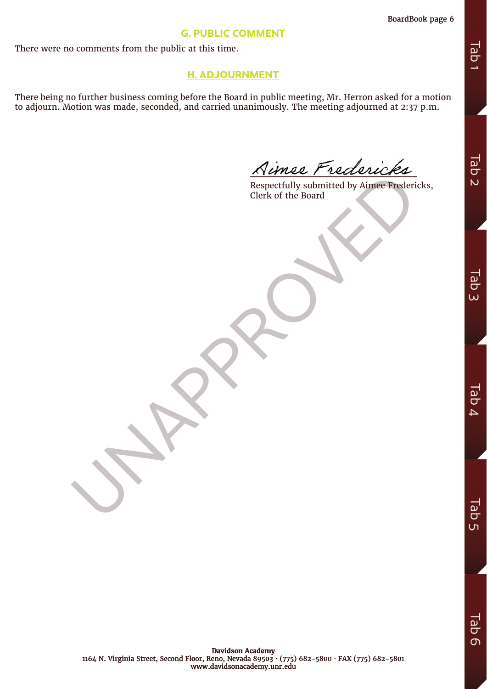# **G. PUBLIC COMMENT**

There were no comments from the public at this time.

# **H. ADJOURNMENT**

There being no further business coming before the Board in public meeting, Mr. Herron asked for a motion to adjourn. Motion was made, seconded, and carried unanimously. The meeting adjourned at 2:37 p.m.

A PROPERTY IN SURFACE OF THE BOAT CLERK OF THE BOAT CLERK OF THE BOAT CLERK OF THE BOAT CLERK OF THE BOAT CLERK OF THE BOAT CLERK OF THE BOAT CLERK OF THE BOAT CLERK OF THE CLEAR OF THE CLEAR OF THE CLEAR OF THE CLEAR OF T Respectfully submitted by Aimee Fredericks, Clerk of the Board

Tab 3

Tab 2

 $\overline{\omega}$  $\overline{\sigma}$ ហ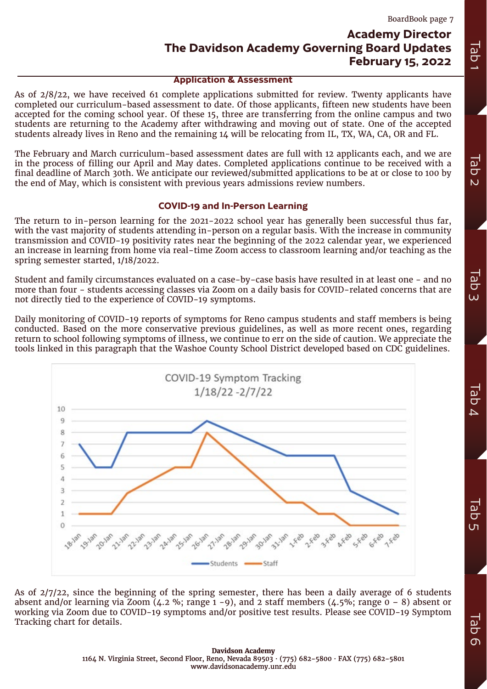# **Academy Director The Davidson Academy Governing Board Updates February 15, 2022**

### **Application & Assessment**

As of 2/8/22, we have received 61 complete applications submitted for review. Twenty applicants have completed our curriculum-based assessment to date. Of those applicants, fifteen new students have been accepted for the coming school year. Of these 15, three are transferring from the online campus and two students are returning to the Academy after withdrawing and moving out of state. One of the accepted students already lives in Reno and the remaining 14 will be relocating from IL, TX, WA, CA, OR and FL.

The February and March curriculum-based assessment dates are full with 12 applicants each, and we are in the process of filling our April and May dates. Completed applications continue to be received with a final deadline of March 30th. We anticipate our reviewed/submitted applications to be at or close to 100 by the end of May, which is consistent with previous years admissions review numbers.

# **COVID-19 and In-Person Learning**

The return to in-person learning for the 2021-2022 school year has generally been successful thus far, with the vast majority of students attending in-person on a regular basis. With the increase in community transmission and COVID-19 positivity rates near the beginning of the 2022 calendar year, we experienced an increase in learning from home via real-time Zoom access to classroom learning and/or teaching as the spring semester started, 1/18/2022.

Student and family circumstances evaluated on a case-by-case basis have resulted in at least one - and no more than four - students accessing classes via Zoom on a daily basis for COVID-related concerns that are not directly tied to the experience of COVID-19 symptoms.

Daily monitoring of COVID-19 reports of symptoms for Reno campus students and staff members is being conducted. Based on the more conservative previous guidelines, as well as more recent ones, regarding return to school following symptoms of illness, we continue to err on the side of caution. We appreciate the tools linked in this paragraph that the Washoe County School District developed based on CDC guidelines.

<span id="page-6-0"></span>

As of 2/7/22, since the beginning of the spring semester, there has been a daily average of 6 students absent and/or learning via Zoom  $(4.2 \%)$ ; range  $1 - 9$ ), and 2 staff members  $(4.5\%)$ ; range  $0 - 8$ ) absent or working via Zoom due to COVID-19 symptoms and/or positive test results. Please see COVID-19 Symptom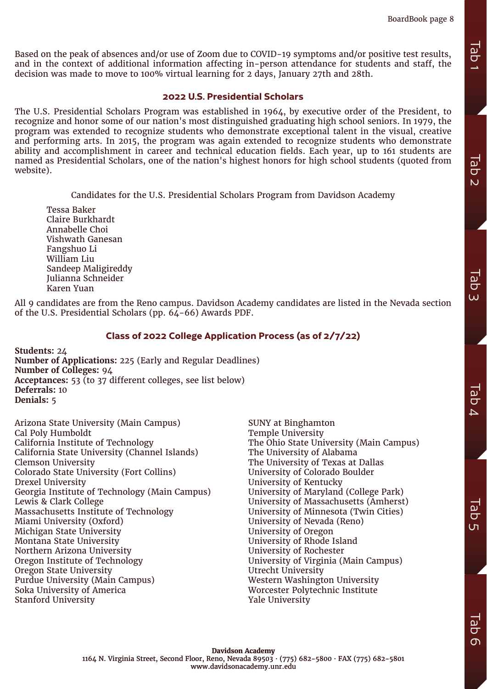Tab 1

Tab 2

Tab 3

Tab  $\overline{\mathcal{L}}$ 

 $\overline{\omega}$  $\overline{C}$  $\overline{u}$ 

Based on the peak of absences and/or use of Zoom due to COVID-19 symptoms and/or positive test results, and in the context of additional information affecting in-person attendance for students and staff, the decision was made to move to 100% virtual learning for 2 days, January 27th and 28th.

### **2022 U.S. Presidential Scholars**

The U.S. Presidential Scholars Program was established in 1964, by executive order of the President, to recognize and honor some of our nation's most distinguished graduating high school seniors. In 1979, the program was extended to recognize students who demonstrate exceptional talent in the visual, creative and performing arts. In 2015, the program was again extended to recognize students who demonstrate ability and accomplishment in career and technical education fields. Each year, up to 161 students are named as Presidential Scholars, one of the nation's highest honors for high school students (quoted from website).

Candidates for the U.S. Presidential Scholars Program from Davidson Academy

Tessa Baker Claire Burkhardt Annabelle Choi Vishwath Ganesan Fangshuo Li William Liu Sandeep Maligireddy Julianna Schneider Karen Yuan

All 9 candidates are from the Reno campus. Davidson Academy candidates are listed in the Nevada section of the U.S. Presidential Scholars (pp.  $64-66$ ) Awards PDF.

# **Class of 2022 College Application Process (as of 2/7/22)**

**Students:** 24 **Number of Applications:** 225 (Early and Regular Deadlines) **Number of Colleges:** 94 **Acceptances:** 53 (to 37 different colleges, see list below) **Deferrals:** 10 **Denials:** 5

Arizona State University (Main Campus) Cal Poly Humboldt California Institute of Technology California State University (Channel Islands) Clemson University Colorado State University (Fort Collins) Drexel University Georgia Institute of Technology (Main Campus) Lewis & Clark College Massachusetts Institute of Technology Miami University (Oxford) Michigan State University Montana State University Northern Arizona University Oregon Institute of Technology Oregon State University Purdue University (Main Campus) Soka University of America Stanford University

SUNY at Binghamton Temple University The Ohio State University (Main Campus) The University of Alabama The University of Texas at Dallas University of Colorado Boulder University of Kentucky University of Maryland (College Park) University of Massachusetts (Amherst) University of Minnesota (Twin Cities) University of Nevada (Reno) University of Oregon University of Rhode Island University of Rochester University of Virginia (Main Campus) Utrecht University Western Washington University Worcester Polytechnic Institute Yale University

 $\sigma$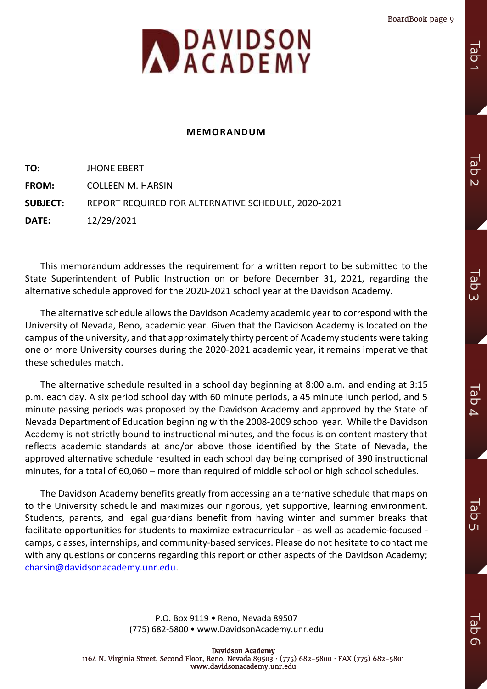<span id="page-8-0"></span>

# **MEMORANDUM**

**TO:** JHONE EBERT **FROM:** COLLEEN M. HARSIN **SUBJECT:** REPORT REQUIRED FOR ALTERNATIVE SCHEDULE, 2020-2021 **DATE:** 12/29/2021

This memorandum addresses the requirement for a written report to be submitted to the State Superintendent of Public Instruction on or before December 31, 2021, regarding the alternative schedule approved for the 2020-2021 school year at the Davidson Academy.

The alternative schedule allows the Davidson Academy academic year to correspond with the University of Nevada, Reno, academic year. Given that the Davidson Academy is located on the campus of the university, and that approximately thirty percent of Academy students were taking one or more University courses during the 2020-2021 academic year, it remains imperative that these schedules match.

The alternative schedule resulted in a school day beginning at 8:00 a.m. and ending at 3:15 p.m. each day. A six period school day with 60 minute periods, a 45 minute lunch period, and 5 minute passing periods was proposed by the Davidson Academy and approved by the State of Nevada Department of Education beginning with the 2008-2009 school year. While the Davidson Academy is not strictly bound to instructional minutes, and the focus is on content mastery that reflects academic standards at and/or above those identified by the State of Nevada, the approved alternative schedule resulted in each school day being comprised of 390 instructional minutes, for a total of 60,060 – more than required of middle school or high school schedules.

The Davidson Academy benefits greatly from accessing an alternative schedule that maps on to the University schedule and maximizes our rigorous, yet supportive, learning environment. Students, parents, and legal guardians benefit from having winter and summer breaks that facilitate opportunities for students to maximize extracurricular - as well as academic-focused camps, classes, internships, and community-based services. Please do not hesitate to contact me with any questions or concerns regarding this report or other aspects of the Davidson Academy; charsin@davidsonacademy.unr.edu.

> P.O. Box 9119 • Reno, Nevada 89507 (775) 682-5800 • www.DavidsonAcademy.unr.edu

Tab 1

Iab  $\Omega$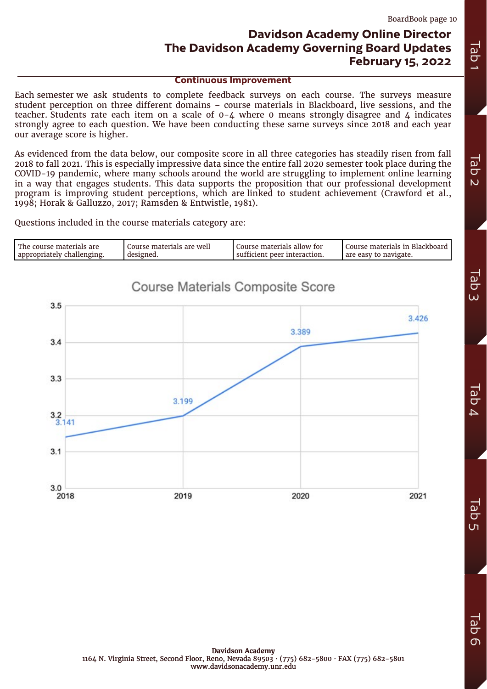# **Davidson Academy Online Director The Davidson Academy Governing Board Updates February 15, 2022**

**Continuous Improvement** 

<span id="page-9-0"></span>Each semester we ask students to complete feedback surveys on each course. The surveys measure student perception on three different domains – course materials in Blackboard, live sessions, and the teacher. Students rate each item on a scale of  $0-4$  where 0 means strongly disagree and 4 indicates strongly agree to each question. We have been conducting these same surveys since 2018 and each year our average score is higher.

As evidenced from the data below, our composite score in all three categories has steadily risen from fall 2018 to fall 2021. This is especially impressive data since the entire fall 2020 semester took place during the COVID-19 pandemic, where many schools around the world are struggling to implement online learning in a way that engages students. This data supports the proposition that our professional development program is improving student perceptions, which are linked to student achievement (Crawford et al., 1998; Horak & Galluzzo, 2017; Ramsden & Entwistle, 1981).

Questions included in the course materials category are:

| l The course materials are | Course materials are well | Course materials allow for   | Course materials in Blackboard |
|----------------------------|---------------------------|------------------------------|--------------------------------|
| appropriately challenging. | designed.                 | sufficient peer interaction. | are easy to navigate.          |
|                            |                           |                              |                                |

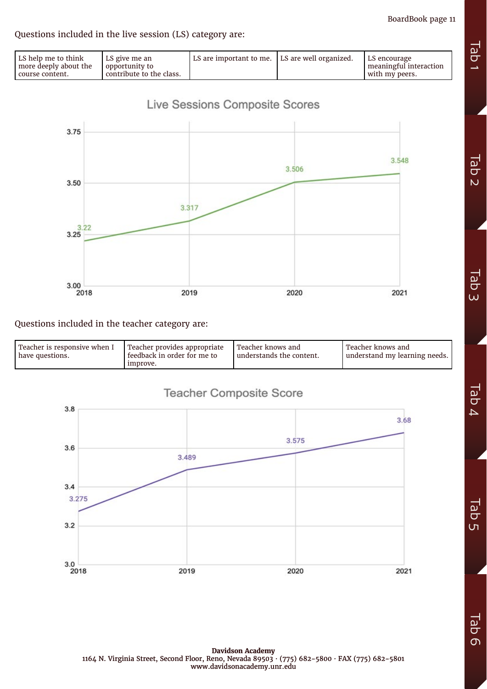BoardBook page 11

# Questions included in the live session (LS) category are:

| LS help me to think<br>LS give me an<br>more deeply about the<br>opportunity to<br>contribute to the class.<br>l course content. | LS are important to me.   LS are well organized. |  | LS encourage<br>meaningful interaction<br>with my peers. |
|----------------------------------------------------------------------------------------------------------------------------------|--------------------------------------------------|--|----------------------------------------------------------|
|----------------------------------------------------------------------------------------------------------------------------------|--------------------------------------------------|--|----------------------------------------------------------|



# Questions included in the teacher category are:

| l Teacher is responsive when I<br>have questions. | Teacher provides appropriate<br>feedback in order for me to<br>improve. | l Teacher knows and<br>understands the content. | Teacher knows and<br>understand my learning needs. |
|---------------------------------------------------|-------------------------------------------------------------------------|-------------------------------------------------|----------------------------------------------------|
|---------------------------------------------------|-------------------------------------------------------------------------|-------------------------------------------------|----------------------------------------------------|





**Tab** 

 $\overline{O}$ 

**Davidson Academy** 1164 N. Virginia Street, Second Floor, Reno, Nevada 89503 · (775) 682-5800 · FAX (775) 682-5801 www.davidsonacademy.unr.edu

**Da**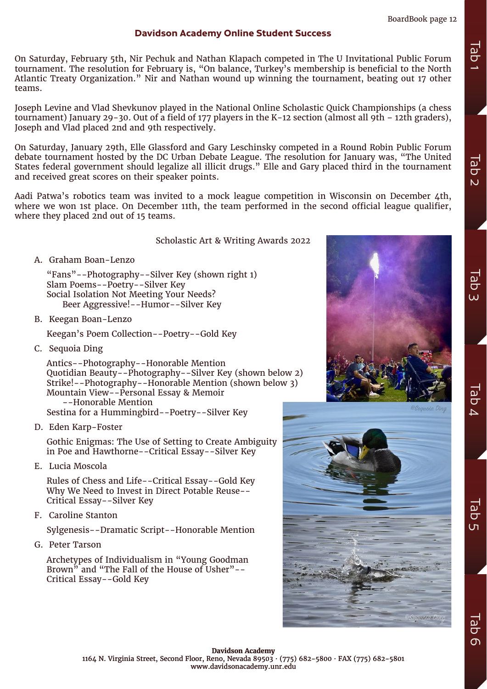# **Davidson Academy Online Student Success**

On Saturday, February 5th, Nir Pechuk and Nathan Klapach competed in The U Invitational Public Forum tournament. The resolution for February is, "On balance, Turkey's membership is beneficial to the North Atlantic Treaty Organization." Nir and Nathan wound up winning the tournament, beating out 17 other teams.

Joseph Levine and Vlad Shevkunov played in the National Online Scholastic Quick Championships (a chess tournament) January 29-30. Out of a field of 177 players in the K-12 section (almost all 9th – 12th graders), Joseph and Vlad placed 2nd and 9th respectively.

On Saturday, January 29th, Elle Glassford and Gary Leschinsky competed in a Round Robin Public Forum debate tournament hosted by the DC Urban Debate League. The resolution for January was, "The United States federal government should legalize all illicit drugs." Elle and Gary placed third in the tournament and received great scores on their speaker points.

Aadi Patwa's robotics team was invited to a mock league competition in Wisconsin on December 4th, where we won 1st place. On December 11th, the team performed in the second official league qualifier, where they placed 2nd out of 15 teams.

### Scholastic Art & Writing Awards 2022

A. Graham Boan-Lenzo

"Fans"--Photography--Silver Key (shown right 1) Slam Poems--Poetry--Silver Key Social Isolation Not Meeting Your Needs? Beer Aggressive!--Humor--Silver Key

B. Keegan Boan-Lenzo

Keegan's Poem Collection--Poetry--Gold Key

C. Sequoia Ding

Antics--Photography--Honorable Mention Quotidian Beauty--Photography--Silver Key (shown below 2) Strike!--Photography--Honorable Mention (shown below 3) Mountain View--Personal Essay & Memoir --Honorable Mention Sestina for a Hummingbird--Poetry--Silver Key

D. Eden Karp-Foster

Gothic Enigmas: The Use of Setting to Create Ambiguity in Poe and Hawthorne--Critical Essay--Silver Key

E. Lucia Moscola

Rules of Chess and Life--Critical Essay--Gold Key Why We Need to Invest in Direct Potable Reuse-- Critical Essay--Silver Key

F. Caroline Stanton

Sylgenesis--Dramatic Script--Honorable Mention

G. Peter Tarson

Archetypes of Individualism in "Young Goodman Brown<sup>5</sup> and "The Fall of the House of Usher"--Critical Essay--Gold Key





Tab 2

Tab 3

**UaD**  $\overline{\mathbf{r}}$ 

 $\overline{\omega}$  $\overline{a}$  $\overline{n}$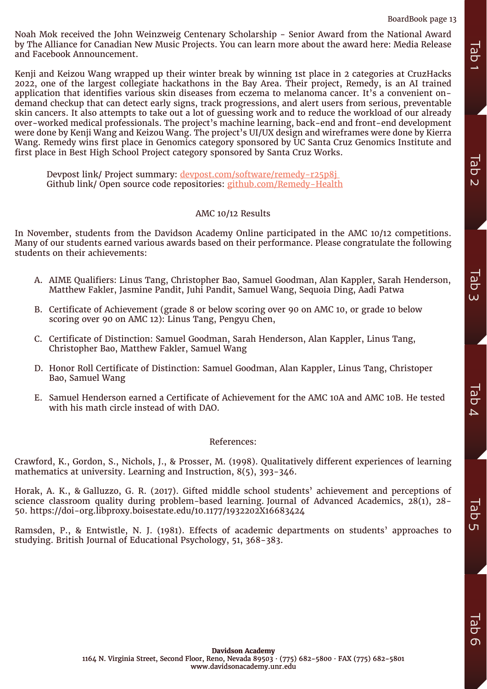Noah Mok received the John Weinzweig Centenary Scholarship - Senior Award from the National Award by The Alliance for Canadian New Music Projects. You can learn more about the award here: Media Release and Facebook Announcement.

Kenji and Keizou Wang wrapped up their winter break by winning 1st place in 2 categories at CruzHacks 2022, one of the largest collegiate hackathons in the Bay Area. Their project, Remedy, is an AI trained application that identifies various skin diseases from eczema to melanoma cancer. It's a convenient ondemand checkup that can detect early signs, track progressions, and alert users from serious, preventable skin cancers. It also attempts to take out a lot of guessing work and to reduce the workload of our already over-worked medical professionals. The project's machine learning, back-end and front-end development were done by Kenji Wang and Keizou Wang. The project's UI/UX design and wireframes were done by Kierra Wang. Remedy wins first place in Genomics category sponsored by UC Santa Cruz Genomics Institute and first place in Best High School Project category sponsored by Santa Cruz Works. In The Alliance for Camelian Psychology is the three that mere about the award here: Media Release<br>
Keni) and Keloso Wang warped up their winter break by winting its place in 2 categories at Coullabed<br>
Studying Keloso Wan

Devpost link/ Project summary: [devpost.com/software/remedy-r25p8j](http://devpost.com/software/remedy-r25p8j )  Github link/ Open source code repositories: [github.com/Remedy-Health](http://github.com/Remedy-Health)

# AMC 10/12 Results

In November, students from the Davidson Academy Online participated in the AMC 10/12 competitions. Many of our students earned various awards based on their performance. Please congratulate the following students on their achievements:

- A. AIME Qualifiers: Linus Tang, Christopher Bao, Samuel Goodman, Alan Kappler, Sarah Henderson, Matthew Fakler, Jasmine Pandit, Juhi Pandit, Samuel Wang, Sequoia Ding, Aadi Patwa
- B. Certificate of Achievement (grade 8 or below scoring over 90 on AMC 10, or grade 10 below scoring over 90 on AMC 12): Linus Tang, Pengyu Chen,
- C. Certificate of Distinction: Samuel Goodman, Sarah Henderson, Alan Kappler, Linus Tang, Christopher Bao, Matthew Fakler, Samuel Wang
- D. Honor Roll Certificate of Distinction: Samuel Goodman, Alan Kappler, Linus Tang, Christoper Bao, Samuel Wang
- E. Samuel Henderson earned a Certificate of Achievement for the AMC 10A and AMC 10B. He tested with his math circle instead of with DAO.

### References:

Crawford, K., Gordon, S., Nichols, J., & Prosser, M. (1998). Qualitatively different experiences of learning mathematics at university. Learning and Instruction, 8(5), 393-346.

Horak, A. K., & Galluzzo, G. R. (2017). Gifted middle school students' achievement and perceptions of science classroom quality during problem-based learning. Journal of Advanced Academics, 28(1), 28- 50. https://doi-org.libproxy.boisestate.edu/10.1177/1932202X16683424

Ramsden, P., & Entwistle, N. J. (1981). Effects of academic departments on students' approaches to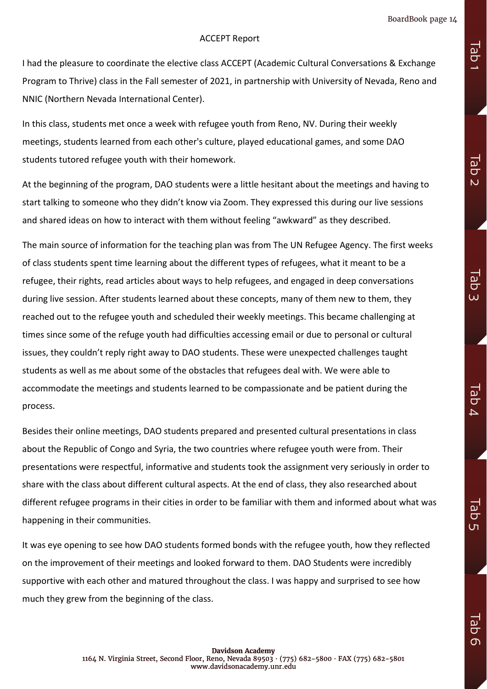Tab 1

Tab 2

Tab 3

**Iab**  $\overline{\mathcal{L}}$ 

 $\overline{\omega}$  $\overline{C}$ ហ

# ACCEPT Report

I had the pleasure to coordinate the elective class ACCEPT (Academic Cultural Conversations & Exchange Program to Thrive) class in the Fall semester of 2021, in partnership with University of Nevada, Reno and NNIC (Northern Nevada International Center).

In this class, students met once a week with refugee youth from Reno, NV. During their weekly meetings, students learned from each other's culture, played educational games, and some DAO students tutored refugee youth with their homework.

At the beginning of the program, DAO students were a little hesitant about the meetings and having to start talking to someone who they didn't know via Zoom. They expressed this during our live sessions and shared ideas on how to interact with them without feeling "awkward" as they described.

The main source of information for the teaching plan was from The UN Refugee Agency. The first weeks of class students spent time learning about the different types of refugees, what it meant to be a refugee, their rights, read articles about ways to help refugees, and engaged in deep conversations during live session. After students learned about these concepts, many of them new to them, they reached out to the refugee youth and scheduled their weekly meetings. This became challenging at times since some of the refuge youth had difficulties accessing email or due to personal or cultural issues, they couldn't reply right away to DAO students. These were unexpected challenges taught students as well as me about some of the obstacles that refugees deal with. We were able to accommodate the meetings and students learned to be compassionate and be patient during the process.

Besides their online meetings, DAO students prepared and presented cultural presentations in class about the Republic of Congo and Syria, the two countries where refugee youth were from. Their presentations were respectful, informative and students took the assignment very seriously in order to share with the class about different cultural aspects. At the end of class, they also researched about different refugee programs in their cities in order to be familiar with them and informed about what was happening in their communities.

It was eye opening to see how DAO students formed bonds with the refugee youth, how they reflected on the improvement of their meetings and looked forward to them. DAO Students were incredibly supportive with each other and matured throughout the class. I was happy and surprised to see how much they grew from the beginning of the class.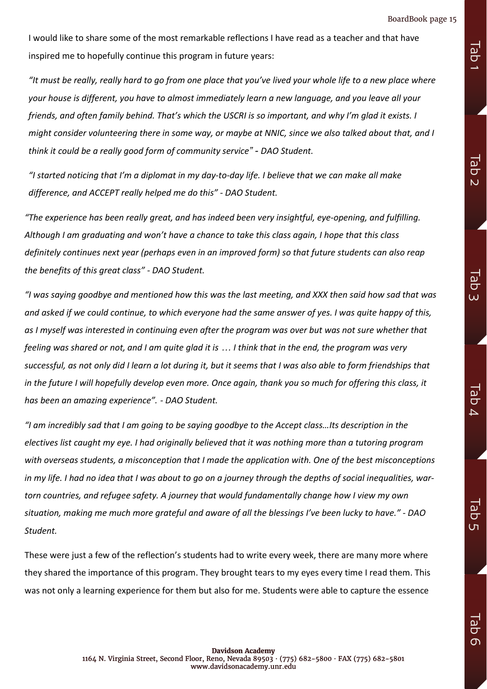Tab 1

Tab 2

Tab 3

**Iab**  $\overline{4}$ 

Tab ហ

I would like to share some of the most remarkable reflections I have read as a teacher and that have inspired me to hopefully continue this program in future years:

*"It must be really, really hard to go from one place that you've lived your whole life to a new place where your house is different, you have to almost immediately learn a new language, and you leave all your friends, and often family behind. That's which the USCRI is so important, and why I'm glad it exists. I might consider volunteering there in some way, or maybe at NNIC, since we also talked about that, and I think it could be a really good form of community service" - DAO Student.*

*"I started noticing that I'm a diplomat in my day-to-day life. I believe that we can make all make difference, and ACCEPT really helped me do this" - DAO Student.*

*"The experience has been really great, and has indeed been very insightful, eye-opening, and fulfilling. Although I am graduating and won't have a chance to take this class again, I hope that this class definitely continues next year (perhaps even in an improved form) so that future students can also reap the benefits of this great class" - DAO Student.*

*"I was saying goodbye and mentioned how this was the last meeting, and XXX then said how sad that was and asked if we could continue, to which everyone had the same answer of yes. I was quite happy of this, as I myself was interested in continuing even after the program was over but was not sure whether that feeling was shared or not, and I am quite glad it is … I think that in the end, the program was very*  successful, as not only did I learn a lot during it, but it seems that I was also able to form friendships that *in the future I will hopefully develop even more. Once again, thank you so much for offering this class, it has been an amazing experience". - DAO Student.*

*"I am incredibly sad that I am going to be saying goodbye to the Accept class…Its description in the electives list caught my eye. I had originally believed that it was nothing more than a tutoring program with overseas students, a misconception that I made the application with. One of the best misconceptions in my life. I had no idea that I was about to go on a journey through the depths of social inequalities, wartorn countries, and refugee safety. A journey that would fundamentally change how I view my own situation, making me much more grateful and aware of all the blessings I've been lucky to have." - DAO Student.*

These were just a few of the reflection's students had to write every week, there are many more where they shared the importance of this program. They brought tears to my eyes every time I read them. This was not only a learning experience for them but also for me. Students were able to capture the essence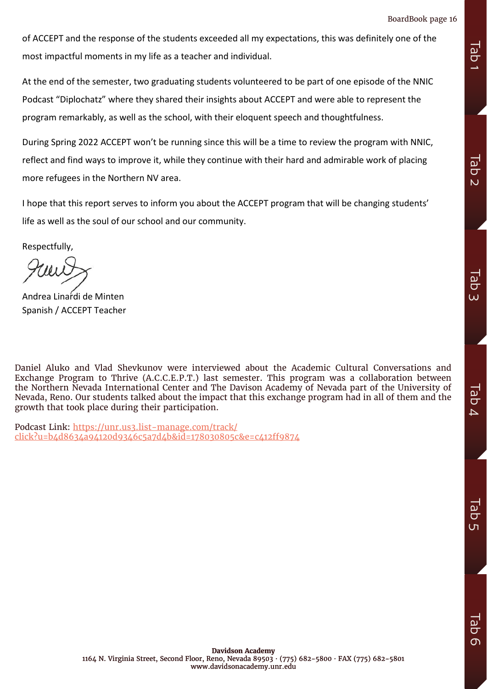of ACCEPT and the response of the students exceeded all my expectations, this was definitely one of the most impactful moments in my life as a teacher and individual.

At the end of the semester, two graduating students volunteered to be part of one episode of the NNIC Podcast "Diplochatz" where they shared their insights about ACCEPT and were able to represent the program remarkably, as well as the school, with their eloquent speech and thoughtfulness.

During Spring 2022 ACCEPT won't be running since this will be a time to review the program with NNIC, reflect and find ways to improve it, while they continue with their hard and admirable work of placing more refugees in the Northern NV area.

I hope that this report serves to inform you about the ACCEPT program that will be changing students' life as well as the soul of our school and our community.

Respectfully,

Andrea Linardi de Minten Spanish / ACCEPT Teacher

Daniel Aluko and Vlad Shevkunov were interviewed about the Academic Cultural Conversations and Exchange Program to Thrive (A.C.C.E.P.T.) last semester. This program was a collaboration between the Northern Nevada International Center and The Davison Academy of Nevada part of the University of Nevada, Reno. Our students talked about the impact that this exchange program had in all of them and the growth that took place during their participation. most impaction moments in my life as a teacher and individual.<br>
At the end of the semester, two graduating students volunteered to be part of one episode of the NNIC<br>
Podcast "Diplochatz" where they shared their insights

Podcast Link: [https://unr.us3.list-manage.com/track/](https://unr.us3.list-manage.com/track/click?u=b4d8634a94120d9346c5a7d4b&id=178030805c&e=c412ff9874)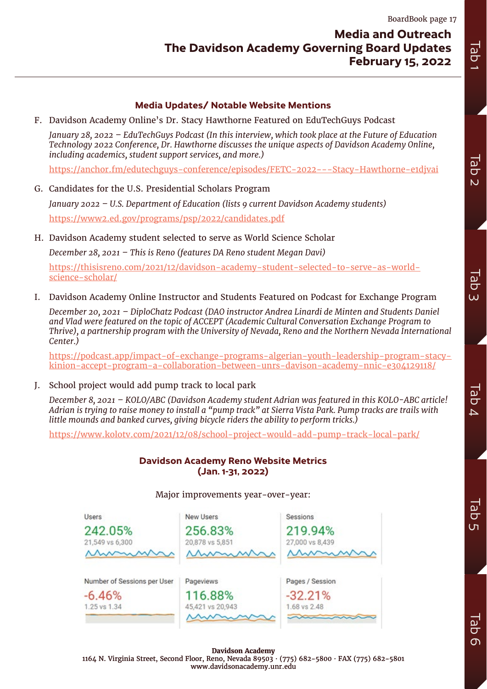# **Media Updates/ Notable Website Mentions**

<span id="page-16-0"></span>F. Davidson Academy Online's Dr. Stacy Hawthorne Featured on EduTechGuys Podcast

*January 28, 2022 – EduTechGuys Podcast (In this interview, which took place at the Future of Education Technology 2022 Conference, Dr. Hawthorne discusses the unique aspects of Davidson Academy Online, including academics, student support services, and more.)*

<https://anchor.fm/edutechguys-conference/episodes/FETC-2022---Stacy-Hawthorne-e1djvai>

G. Candidates for the U.S. Presidential Scholars Program

*January 2022 – U.S. Department of Education (lists 9 current Davidson Academy students)* <https://www2.ed.gov/programs/psp/2022/candidates.pdf>

H. Davidson Academy student selected to serve as World Science Scholar

*December 28, 2021 – This is Reno (features DA Reno student Megan Davi)*

[https://thisisreno.com/2021/12/davidson-academy-student-selected-to-serve-as-world](https://thisisreno.com/2021/12/davidson-academy-student-selected-to-serve-as-world-science-scholar/)[science-scholar/](https://thisisreno.com/2021/12/davidson-academy-student-selected-to-serve-as-world-science-scholar/)

I. Davidson Academy Online Instructor and Students Featured on Podcast for Exchange Program

*December 20, 2021 – DiploChatz Podcast (DAO instructor Andrea Linardi de Minten and Students Daniel and Vlad were featured on the topic of ACCEPT (Academic Cultural Conversation Exchange Program to Thrive), a partnership program with the University of Nevada, Reno and the Northern Nevada International Center.)*

[https://podcast.app/impact-of-exchange-programs-algerian-youth-leadership-program-stacy](https://podcast.app/impact-of-exchange-programs-algerian-youth-leadership-program-stacy-kinion-accept-program-a-collaboration-between-unrs-davison-academy-nnic-e304129118/)[kinion-accept-program-a-collaboration-between-unrs-davison-academy-nnic-e304129118/](https://podcast.app/impact-of-exchange-programs-algerian-youth-leadership-program-stacy-kinion-accept-program-a-collaboration-between-unrs-davison-academy-nnic-e304129118/)

J. School project would add pump track to local park

*December 8, 2021 – KOLO/ABC (Davidson Academy student Adrian was featured in this KOLO-ABC article! Adrian is trying to raise money to install a "pump track" at Sierra Vista Park. Pump tracks are trails with little mounds and banked curves, giving bicycle riders the ability to perform tricks.)* 

<https://www.kolotv.com/2021/12/08/school-project-would-add-pump-track-local-park/>

# **Davidson Academy Reno Website Metrics (Jan. 1-31, 2022)**

| <b>Jsers</b>                | <b>New Users</b>            | Sessions                  |
|-----------------------------|-----------------------------|---------------------------|
| 242.05%                     | 256.83%                     | 219.94%                   |
| 21,549 vs 6,300             | 20,878 vs 5,851             | 27,000 vs 8,439           |
| Mummun                      | Mummur                      | monum                     |
|                             |                             |                           |
| Number of Sessions per User | Pageviews                   | Pages / Session           |
|                             |                             |                           |
| $-6.46%$<br>1.25 vs 1.34    | 116.88%<br>45,421 vs 20,943 | $-32.21%$<br>1.68 vs 2.48 |

### Major improvements year-over-year:

**Davidson Academy** 1164 N. Virginia Street, Second Floor, Reno, Nevada 89503 · (775) 682-5800 · FAX (775) 682-5801 www.davidsonacademy.unr.edu

Iab  $\Omega$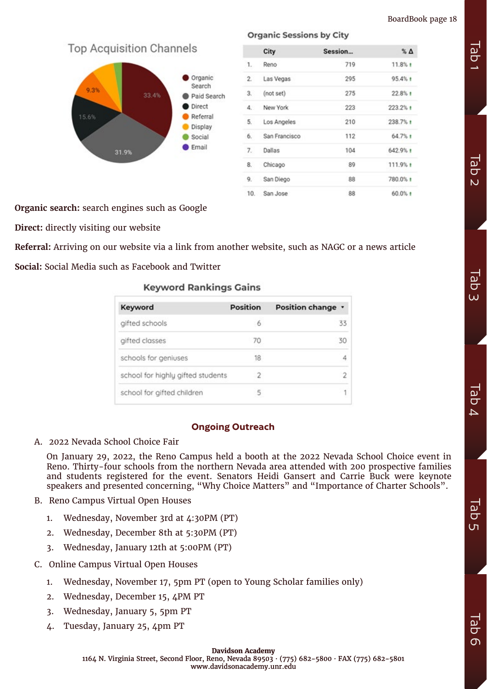**Top Acquisition Channels** 



|                | City          | Session | $\%$ $\Delta$ |
|----------------|---------------|---------|---------------|
| 1.             | Reno          | 719     | 11.8%1        |
| $\mathfrak{D}$ | Las Vegas     | 295     | 95.4% t       |
| 3.             | (not set)     | 275     | $22.8%$ t     |
| 4.             | New York      | 223     | 223.2% t      |
| 5.             | Los Angeles   | 210     | 238.7% +      |
| 6.             | San Francisco | 112     | 64.7%1        |
| 7.             | Dallas        | 104     | 642.9% t      |
| 8.             | Chicago       | 89      | 111.9% +      |
| 9.             | San Diego     | 88      | 780.0% +      |
| 10.            | San Jose      | 88      | 60.0% t       |

**Organic Sessions by City** 

**Organic search:** search engines such as Google

**Direct:** directly visiting our website

**Referral:** Arriving on our website via a link from another website, such as NAGC or a news article **Social:** Social Media such as Facebook and Twitter

Kowyard Dankings Cains

| <u>NGYWOLU KALINIIYY VAILIS</u>   |          |                   |  |
|-----------------------------------|----------|-------------------|--|
| Keyword                           | Position | Position change v |  |
| gifted schools                    | 6        | 33                |  |
| gifted classes                    | 70       | 30                |  |
| schools for geniuses              | 18       | 4                 |  |
| school for highly gifted students |          | 2                 |  |
| school for gifted children        |          |                   |  |

# **Ongoing Outreach**

A. 2022 Nevada School Choice Fair

On January 29, 2022, the Reno Campus held a booth at the 2022 Nevada School Choice event in Reno. Thirty-four schools from the northern Nevada area attended with 200 prospective families and students registered for the event. Senators Heidi Gansert and Carrie Buck were keynote speakers and presented concerning, "Why Choice Matters" and "Importance of Charter Schools".

- B. Reno Campus Virtual Open Houses
	- 1. Wednesday, November 3rd at 4:30PM (PT)
	- 2. Wednesday, December 8th at 5:30PM (PT)
	- 3. Wednesday, January 12th at 5:00PM (PT)
- C. Online Campus Virtual Open Houses
	- 1. Wednesday, November 17, 5pm PT (open to Young Scholar families only)
	- 2. Wednesday, December 15, 4PM PT
	- 3. Wednesday, January 5, 5pm PT
	- 4. Tuesday, January 25, 4pm PT

Tab 3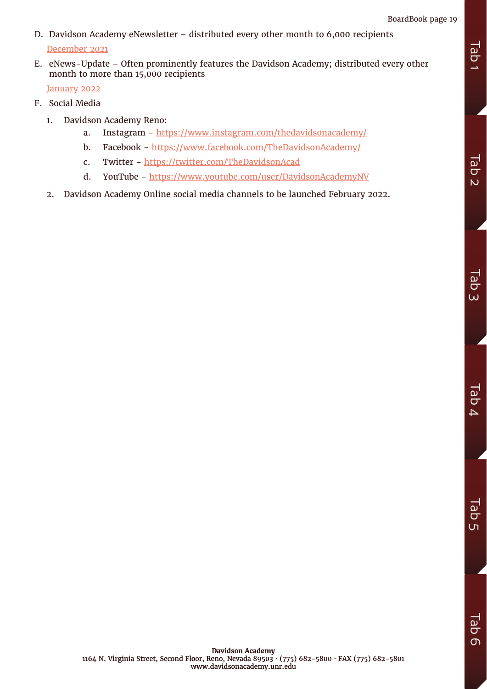- D. Davidson Academy eNewsletter distributed every other month to 6,000 recipients [December 2021](https://mailchi.mp/ebf81e121f51/december-2021-davidson-academy-enewsletter)
- E. eNews-Update Often prominently features the Davidson Academy; distributed every other month to more than 15,000 recipients

[January 2022](https://mailchi.mp/davidsongifted.org/davidson-institute-enews-update-january-2022)

- F. Social Media
	- 1. Davidson Academy Reno:
		- a. Instagram <https://www.instagram.com/thedavidsonacademy/>
		- b. Facebook -<https://www.facebook.com/TheDavidsonAcademy/>
		- c. Twitter -<https://twitter.com/TheDavidsonAcad>
		- d. YouTube -<https://www.youtube.com/user/DavidsonAcademyNV>
	- 2. Davidson Academy Online social media channels to be launched February 2022.

**Tab**  $\Delta$ 

**Tab** ហ